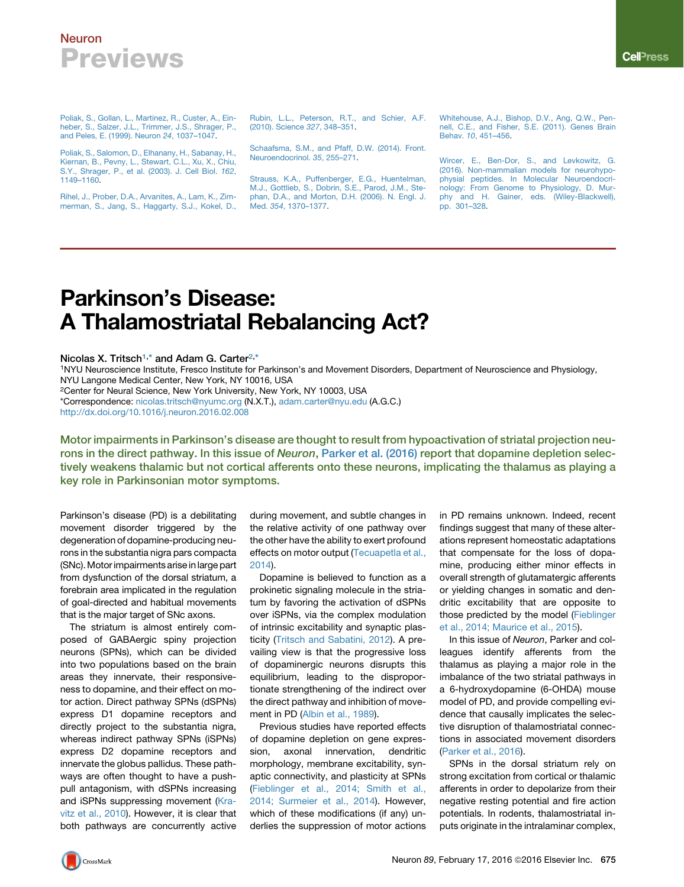## Neuron Previews

[Poliak, S., Gollan, L., Martinez, R., Custer, A., Ein](http://refhub.elsevier.com/S0896-6273(16)00098-2/sref10)[heber, S., Salzer, J.L., Trimmer, J.S., Shrager, P.,](http://refhub.elsevier.com/S0896-6273(16)00098-2/sref10) [and Peles, E. \(1999\). Neuron](http://refhub.elsevier.com/S0896-6273(16)00098-2/sref10) *24*, 1037–1047.

[Poliak, S., Salomon, D., Elhanany, H., Sabanay, H.,](http://refhub.elsevier.com/S0896-6273(16)00098-2/sref11) [Kiernan, B., Pevny, L., Stewart, C.L., Xu, X., Chiu,](http://refhub.elsevier.com/S0896-6273(16)00098-2/sref11) [S.Y., Shrager, P., et al. \(2003\). J. Cell Biol.](http://refhub.elsevier.com/S0896-6273(16)00098-2/sref11) *162*, [1149–1160](http://refhub.elsevier.com/S0896-6273(16)00098-2/sref11).

[Rihel, J., Prober, D.A., Arvanites, A., Lam, K., Zim](http://refhub.elsevier.com/S0896-6273(16)00098-2/sref12)[merman, S., Jang, S., Haggarty, S.J., Kokel, D.,](http://refhub.elsevier.com/S0896-6273(16)00098-2/sref12)

[Rubin, L.L., Peterson, R.T., and Schier, A.F.](http://refhub.elsevier.com/S0896-6273(16)00098-2/sref12) [\(2010\). Science](http://refhub.elsevier.com/S0896-6273(16)00098-2/sref12) *327*, 348–351.

[Schaafsma, S.M., and Pfaff, D.W. \(2014\). Front.](http://refhub.elsevier.com/S0896-6273(16)00098-2/sref13) [Neuroendocrinol.](http://refhub.elsevier.com/S0896-6273(16)00098-2/sref13) *35*, 255–271.

[Strauss, K.A., Puffenberger, E.G., Huentelman,](http://refhub.elsevier.com/S0896-6273(16)00098-2/sref14) [M.J., Gottlieb, S., Dobrin, S.E., Parod, J.M., Ste](http://refhub.elsevier.com/S0896-6273(16)00098-2/sref14)[phan, D.A., and Morton, D.H. \(2006\). N. Engl. J.](http://refhub.elsevier.com/S0896-6273(16)00098-2/sref14) Med. *354*[, 1370–1377](http://refhub.elsevier.com/S0896-6273(16)00098-2/sref14).

[Whitehouse, A.J., Bishop, D.V., Ang, Q.W., Pen](http://refhub.elsevier.com/S0896-6273(16)00098-2/sref15)[nell, C.E., and Fisher, S.E. \(2011\). Genes Brain](http://refhub.elsevier.com/S0896-6273(16)00098-2/sref15) Behav. *10*[, 451–456.](http://refhub.elsevier.com/S0896-6273(16)00098-2/sref15)

[Wircer, E., Ben-Dor, S., and Levkowitz, G.](http://refhub.elsevier.com/S0896-6273(16)00098-2/sref16) [\(2016\). Non-mammalian models for neurohypo](http://refhub.elsevier.com/S0896-6273(16)00098-2/sref16)[physial peptides. In Molecular Neuroendocri](http://refhub.elsevier.com/S0896-6273(16)00098-2/sref16)[nology: From Genome to Physiology, D. Mur](http://refhub.elsevier.com/S0896-6273(16)00098-2/sref16)[phy and H. Gainer, eds. \(Wiley-Blackwell\),](http://refhub.elsevier.com/S0896-6273(16)00098-2/sref16) [pp. 301–328.](http://refhub.elsevier.com/S0896-6273(16)00098-2/sref16)

# Parkinson's Disease: A Thalamostriatal Rebalancing Act?

### Nicolas X. Tritsch<sup>[1](#page-0-0),\*</sup> and Adam G. Carter<sup>[2](#page-0-1),[\\*](#page-0-2)</sup>

<span id="page-0-0"></span>1NYU Neuroscience Institute, Fresco Institute for Parkinson's and Movement Disorders, Department of Neuroscience and Physiology, NYU Langone Medical Center, New York, NY 10016, USA

<span id="page-0-1"></span>2Center for Neural Science, New York University, New York, NY 10003, USA

<span id="page-0-2"></span>\*Correspondence: [nicolas.tritsch@nyumc.org](mailto:nicolas.tritsch@nyumc.org) (N.X.T.), [adam.carter@nyu.edu](mailto:adam.carter@nyu.edu) (A.G.C.)

<http://dx.doi.org/10.1016/j.neuron.2016.02.008>

Motor impairments in Parkinson's disease are thought to result from hypoactivation of striatal projection neu-rons in the direct pathway. In this issue of Neuron, [Parker et al. \(2016\)](#page-2-0) report that dopamine depletion selectively weakens thalamic but not cortical afferents onto these neurons, implicating the thalamus as playing a key role in Parkinsonian motor symptoms.

Parkinson's disease (PD) is a debilitating movement disorder triggered by the degeneration of dopamine-producing neurons in the substantia nigra pars compacta (SNc).Motor impairments arise in large part from dysfunction of the dorsal striatum, a forebrain area implicated in the regulation of goal-directed and habitual movements that is the major target of SNc axons.

The striatum is almost entirely composed of GABAergic spiny projection neurons (SPNs), which can be divided into two populations based on the brain areas they innervate, their responsiveness to dopamine, and their effect on motor action. Direct pathway SPNs (dSPNs) express D1 dopamine receptors and directly project to the substantia nigra, whereas indirect pathway SPNs (iSPNs) express D2 dopamine receptors and innervate the globus pallidus. These pathways are often thought to have a pushpull antagonism, with dSPNs increasing and iSPNs suppressing movement [\(Kra](#page-2-1)[vitz et al., 2010](#page-2-1)). However, it is clear that both pathways are concurrently active

during movement, and subtle changes in the relative activity of one pathway over the other have the ability to exert profound effects on motor output ([Tecuapetla et al.,](#page-2-2) [2014](#page-2-2)).

Dopamine is believed to function as a prokinetic signaling molecule in the striatum by favoring the activation of dSPNs over iSPNs, via the complex modulation of intrinsic excitability and synaptic plasticity [\(Tritsch and Sabatini, 2012](#page-2-3)). A prevailing view is that the progressive loss of dopaminergic neurons disrupts this equilibrium, leading to the disproportionate strengthening of the indirect over the direct pathway and inhibition of movement in PD ([Albin et al., 1989](#page-2-4)).

Previous studies have reported effects of dopamine depletion on gene expression, axonal innervation, dendritic morphology, membrane excitability, synaptic connectivity, and plasticity at SPNs ([Fieblinger et al., 2014; Smith et al.,](#page-2-5) [2014; Surmeier et al., 2014\)](#page-2-5). However, which of these modifications (if any) underlies the suppression of motor actions

in PD remains unknown. Indeed, recent findings suggest that many of these alterations represent homeostatic adaptations that compensate for the loss of dopamine, producing either minor effects in overall strength of glutamatergic afferents or yielding changes in somatic and dendritic excitability that are opposite to those predicted by the model [\(Fieblinger](#page-2-5) [et al., 2014; Maurice et al., 2015](#page-2-5)).

In this issue of *Neuron*, Parker and colleagues identify afferents from the thalamus as playing a major role in the imbalance of the two striatal pathways in a 6-hydroxydopamine (6-OHDA) mouse model of PD, and provide compelling evidence that causally implicates the selective disruption of thalamostriatal connections in associated movement disorders [\(Parker et al., 2016\)](#page-2-0).

SPNs in the dorsal striatum rely on strong excitation from cortical or thalamic afferents in order to depolarize from their negative resting potential and fire action potentials. In rodents, thalamostriatal inputs originate in the intralaminar complex,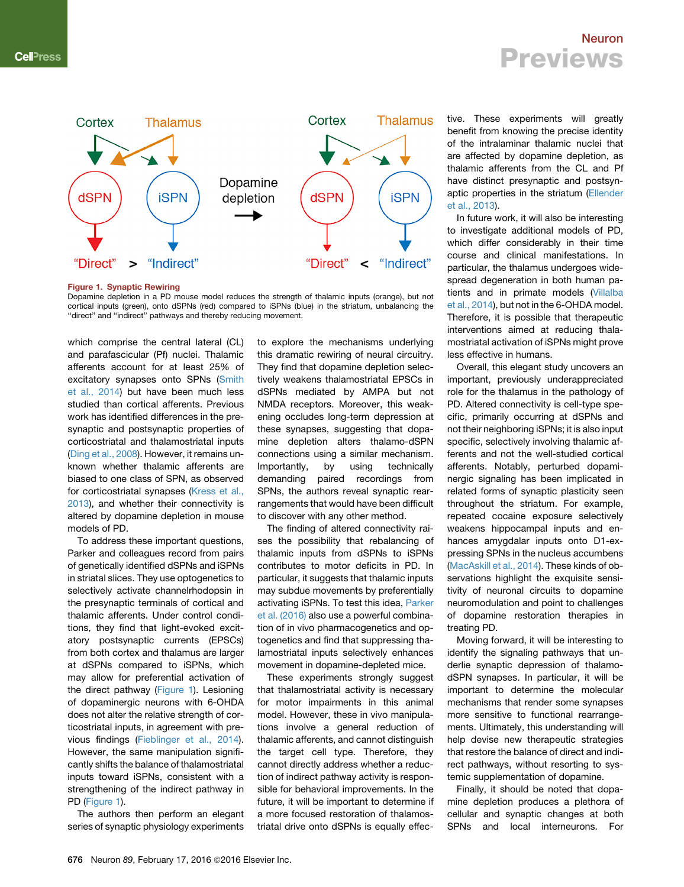### Neuron Previews

<span id="page-1-0"></span>

#### Figure 1. Synaptic Rewiring

Dopamine depletion in a PD mouse model reduces the strength of thalamic inputs (orange), but not cortical inputs (green), onto dSPNs (red) compared to iSPNs (blue) in the striatum, unbalancing the "direct" and "indirect" pathways and thereby reducing movement.

which comprise the central lateral (CL) and parafascicular (Pf) nuclei. Thalamic afferents account for at least 25% of excitatory synapses onto SPNs [\(Smith](#page-2-6) [et al., 2014\)](#page-2-6) but have been much less studied than cortical afferents. Previous work has identified differences in the presynaptic and postsynaptic properties of corticostriatal and thalamostriatal inputs ([Ding et al., 2008](#page-2-7)). However, it remains unknown whether thalamic afferents are biased to one class of SPN, as observed for corticostriatal synapses ([Kress et al.,](#page-2-8) [2013](#page-2-8)), and whether their connectivity is altered by dopamine depletion in mouse models of PD.

To address these important questions, Parker and colleagues record from pairs of genetically identified dSPNs and iSPNs in striatal slices. They use optogenetics to selectively activate channelrhodopsin in the presynaptic terminals of cortical and thalamic afferents. Under control conditions, they find that light-evoked excitatory postsynaptic currents (EPSCs) from both cortex and thalamus are larger at dSPNs compared to iSPNs, which may allow for preferential activation of the direct pathway ([Figure 1\)](#page-1-0). Lesioning of dopaminergic neurons with 6-OHDA does not alter the relative strength of corticostriatal inputs, in agreement with previous findings ([Fieblinger et al., 2014\)](#page-2-5). However, the same manipulation significantly shifts the balance of thalamostriatal inputs toward iSPNs, consistent with a strengthening of the indirect pathway in PD ([Figure 1\)](#page-1-0).

The authors then perform an elegant series of synaptic physiology experiments to explore the mechanisms underlying this dramatic rewiring of neural circuitry. They find that dopamine depletion selectively weakens thalamostriatal EPSCs in dSPNs mediated by AMPA but not NMDA receptors. Moreover, this weakening occludes long-term depression at these synapses, suggesting that dopamine depletion alters thalamo-dSPN connections using a similar mechanism. Importantly, by using technically demanding paired recordings from SPNs, the authors reveal synaptic rearrangements that would have been difficult to discover with any other method.

The finding of altered connectivity raises the possibility that rebalancing of thalamic inputs from dSPNs to iSPNs contributes to motor deficits in PD. In particular, it suggests that thalamic inputs may subdue movements by preferentially activating iSPNs. To test this idea, [Parker](#page-2-0) [et al. \(2016\)](#page-2-0) also use a powerful combination of in vivo pharmacogenetics and optogenetics and find that suppressing thalamostriatal inputs selectively enhances movement in dopamine-depleted mice.

These experiments strongly suggest that thalamostriatal activity is necessary for motor impairments in this animal model. However, these in vivo manipulations involve a general reduction of thalamic afferents, and cannot distinguish the target cell type. Therefore, they cannot directly address whether a reduction of indirect pathway activity is responsible for behavioral improvements. In the future, it will be important to determine if a more focused restoration of thalamostriatal drive onto dSPNs is equally effective. These experiments will greatly benefit from knowing the precise identity of the intralaminar thalamic nuclei that are affected by dopamine depletion, as thalamic afferents from the CL and Pf have distinct presynaptic and postsynaptic properties in the striatum [\(Ellender](#page-2-9) [et al., 2013](#page-2-9)).

In future work, it will also be interesting to investigate additional models of PD, which differ considerably in their time course and clinical manifestations. In particular, the thalamus undergoes widespread degeneration in both human patients and in primate models [\(Villalba](#page-2-10) [et al., 2014\)](#page-2-10), but not in the 6-OHDA model. Therefore, it is possible that therapeutic interventions aimed at reducing thalamostriatal activation of iSPNs might prove less effective in humans.

Overall, this elegant study uncovers an important, previously underappreciated role for the thalamus in the pathology of PD. Altered connectivity is cell-type specific, primarily occurring at dSPNs and not their neighboring iSPNs; it is also input specific, selectively involving thalamic afferents and not the well-studied cortical afferents. Notably, perturbed dopaminergic signaling has been implicated in related forms of synaptic plasticity seen throughout the striatum. For example, repeated cocaine exposure selectively weakens hippocampal inputs and enhances amygdalar inputs onto D1-expressing SPNs in the nucleus accumbens ([MacAskill et al., 2014](#page-2-11)). These kinds of observations highlight the exquisite sensitivity of neuronal circuits to dopamine neuromodulation and point to challenges of dopamine restoration therapies in treating PD.

Moving forward, it will be interesting to identify the signaling pathways that underlie synaptic depression of thalamodSPN synapses. In particular, it will be important to determine the molecular mechanisms that render some synapses more sensitive to functional rearrangements. Ultimately, this understanding will help devise new therapeutic strategies that restore the balance of direct and indirect pathways, without resorting to systemic supplementation of dopamine.

Finally, it should be noted that dopamine depletion produces a plethora of cellular and synaptic changes at both SPNs and local interneurons. For